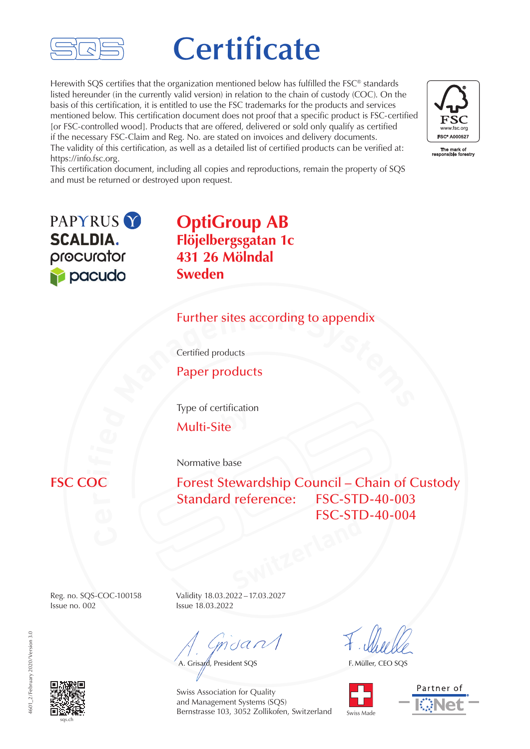

# **Certificate**

Herewith SQS certifies that the organization mentioned below has fulfilled the FSC® standards listed hereunder (in the currently valid version) in relation to the chain of custody (COC). On the basis of this certification, it is entitled to use the FSC trademarks for the products and services mentioned below. This certification document does not proof that a specific product is FSC-certified [or FSC-controlled wood]. Products that are offered, delivered or sold only qualify as certified if the necessary FSC-Claim and Reg. No. are stated on invoices and delivery documents. The validity of this certification, as well as a detailed list of certified products can be verified at: https://info.fsc.org.



This certification document, including all copies and reproductions, remain the property of SQS and must be returned or destroyed upon request.

PAPYRUS<sub>Y</sub> **SCALDIA.** procurator pacudo

**OptiGroup AB Flöjelbergsgatan 1c 431 26 Mölndal Sweden**

# **Eurther sites according to appendix**<br>Certified products<br>**Paper products** Further sites according to appendix

Certified products

Paper products

Type of certification

**by** Multi-Site

Normative base

**FSC COC** 

Switzerland Forest Stewardship Council – Chain of Custody Standard reference: FSC-STD-40-003 FSC-STD-40-004

Issue no. 002 Issue 18.03.2022

Reg. no. SQS-COC-100158 Validity 18.03.2022–17.03.2027

 $m$ dan $\sqrt{}$ 

A. Grisard, President SQS

F. Müller, CEO SQS





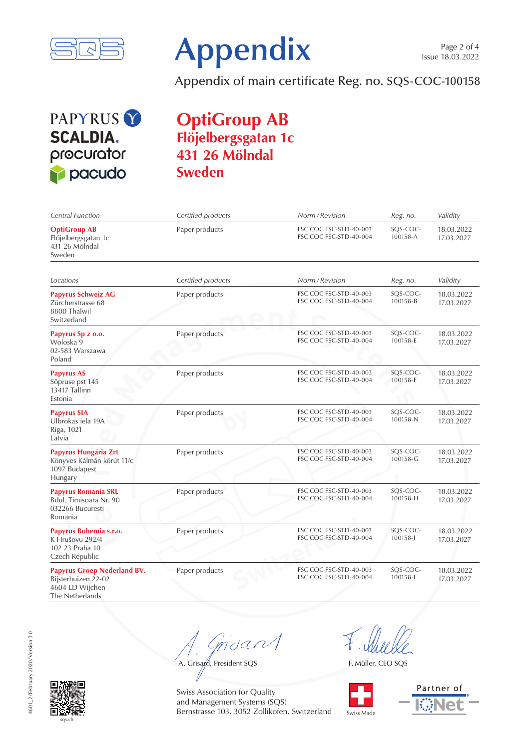



Appendix of main certificate Reg. no. SQS-COC-100158

## PAPYRUS<sup>Y</sup> **SCALDIA.** procurator pacudo

#### **OptiGroup AB Flöjelbergsgatan 1c 431 26 Mölndal Sweden**

| Central Function                                                                                | Certified products | Norm / Revision                                  | Reg. no.                 | Validity                 |
|-------------------------------------------------------------------------------------------------|--------------------|--------------------------------------------------|--------------------------|--------------------------|
| <b>OptiGroup AB</b><br>Flöjelbergsgatan 1c<br>431 26 Mölndal<br>Sweden                          | Paper products     | FSC COC FSC-STD-40-003<br>FSC COC FSC-STD-40-004 | SQS-COC-<br>100158-A     | 18.03.2022<br>17.03.2027 |
|                                                                                                 |                    |                                                  |                          |                          |
| Locations                                                                                       | Certified products | Norm / Revision                                  | Reg. no.                 | Validity                 |
| Papyrus Schweiz AG<br>Zürcherstrasse 68<br>8800 Thalwil<br>Switzerland                          | Paper products     | FSC COC FSC-STD-40-003<br>FSC COC FSC-STD-40-004 | SOS-COC-<br>100158-B     | 18.03.2022<br>17.03.2027 |
| Papyrus Sp z o.o.<br>Woloska 9<br>02-583 Warszawa<br>Poland                                     | Paper products     | FSC COC FSC-STD-40-003<br>FSC COC FSC-STD-40-004 | SQS-COC-<br>100158-E     | 18.03.2022<br>17.03.2027 |
| <b>Papyrus AS</b><br>Sõpruse pst 145<br>13417 Tallinn<br>Estonia                                | Paper products     | FSC COC FSC-STD-40-003<br>FSC COC FSC-STD-40-004 | SQS-COC-<br>100158-F     | 18.03.2022<br>17.03.2027 |
| <b>Papyrus SIA</b><br>Ulbrokas iela 19A<br>Riga, 1021<br>Latvia                                 | Paper products     | FSC COC FSC-STD-40-003<br>FSC COC FSC-STD-40-004 | SQS-COC-<br>100158-N     | 18.03.2022<br>17.03.2027 |
| Papyrus Hungária Zrt<br>Könyves Kálmán körút 11/c<br>1097 Budapest<br>Hungary                   | Paper products     | FSC COC FSC-STD-40-003<br>FSC COC FSC-STD-40-004 | SQS-COC-<br>100158-G     | 18.03.2022<br>17.03.2027 |
| <b>Papyrus Romania SRL</b><br>Bdul. Timisoara Nr. 90<br>032266 Bucuresti<br>Romania             | Paper products     | FSC COC FSC-STD-40-003<br>FSC COC FSC-STD-40-004 | SQS-COC-<br>100158-H     | 18.03.2022<br>17.03.2027 |
| Papyrus Bohemia s.r.o.<br>K Hrušovu 292/4<br>102 23 Praha 10<br>Czech Republic                  | Paper products     | FSC COC FSC-STD-40-003<br>FSC COC FSC-STD-40-004 | SQS-COC-<br>$100158 - J$ | 18.03.2022<br>17.03.2027 |
| <b>Papyrus Groep Nederland BV.</b><br>Bijsterhuizen 22-02<br>4604 LD Wijchen<br>The Netherlands | Paper products     | FSC COC FSC-STD-40-003<br>FSC COC FSC-STD-40-004 | SQS-COC-<br>100158-L     | 18.03.2022<br>17.03.2027 |

msan

A. Grisand, President SQS

F. Müller, CEO SQS



Partner of

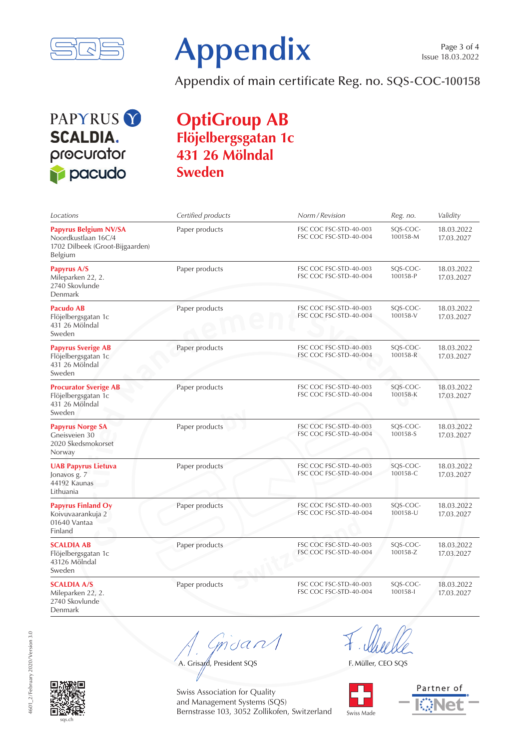



Appendix of main certificate Reg. no. SQS-COC-100158

### PAPYRUS<sup>Y</sup> **SCALDIA.** procurator pacudo

#### **OptiGroup AB Flöjelbergsgatan 1c 431 26 Mölndal Sweden**

| Locations                                                                                         | Certified products | Norm / Revision                                  | Reg. no.             | Validity                 |
|---------------------------------------------------------------------------------------------------|--------------------|--------------------------------------------------|----------------------|--------------------------|
| <b>Papyrus Belgium NV/SA</b><br>Noordkustlaan 16C/4<br>1702 Dilbeek (Groot-Bijgaarden)<br>Belgium | Paper products     | FSC COC FSC-STD-40-003<br>FSC COC FSC-STD-40-004 | SQS-COC-<br>100158-M | 18.03.2022<br>17.03.2027 |
| Papyrus A/S<br>Mileparken 22, 2.<br>2740 Skovlunde<br>Denmark                                     | Paper products     | FSC COC FSC-STD-40-003<br>FSC COC FSC-STD-40-004 | SQS-COC-<br>100158-P | 18.03.2022<br>17.03.2027 |
| Pacudo AB<br>Flöjelbergsgatan 1c<br>431 26 Mölndal<br>Sweden                                      | Paper products     | FSC COC FSC-STD-40-003<br>FSC COC FSC-STD-40-004 | SQS-COC-<br>100158-V | 18.03.2022<br>17.03.2027 |
| <b>Papyrus Sverige AB</b><br>Flöjelbergsgatan 1c<br>431 26 Mölndal<br>Sweden                      | Paper products     | FSC COC FSC-STD-40-003<br>FSC COC FSC-STD-40-004 | SQS-COC-<br>100158-R | 18.03.2022<br>17.03.2027 |
| <b>Procurator Sverige AB</b><br>Flöjelbergsgatan 1c<br>431 26 Mölndal<br>Sweden                   | Paper products     | FSC COC FSC-STD-40-003<br>FSC COC FSC-STD-40-004 | SQS-COC-<br>100158-K | 18.03.2022<br>17.03.2027 |
| <b>Papyrus Norge SA</b><br>Gneisveien 30<br>2020 Skedsmokorset<br>Norway                          | Paper products     | FSC COC FSC-STD-40-003<br>FSC COC FSC-STD-40-004 | SQS-COC-<br>100158-S | 18.03.2022<br>17.03.2027 |
| <b>UAB Papyrus Lietuva</b><br>Jonavos g. 7<br>44192 Kaunas<br>Lithuania                           | Paper products     | FSC COC FSC-STD-40-003<br>FSC COC FSC-STD-40-004 | SQS-COC-<br>100158-C | 18.03.2022<br>17.03.2027 |
| <b>Papyrus Finland Oy</b><br>Koivuvaarankuja 2<br>01640 Vantaa<br>Finland                         | Paper products     | FSC COC FSC-STD-40-003<br>FSC COC FSC-STD-40-004 | SQS-COC-<br>100158-U | 18.03.2022<br>17.03.2027 |
| <b>SCALDIA AB</b><br>Flöjelbergsgatan 1c<br>43126 Mölndal<br>Sweden                               | Paper products     | FSC COC FSC-STD-40-003<br>FSC COC FSC-STD-40-004 | SQS-COC-<br>100158-Z | 18.03.2022<br>17.03.2027 |
| <b>SCALDIA A/S</b><br>Mileparken 22, 2.<br>2740 Skovlunde<br>Denmark                              | Paper products     | FSC COC FSC-STD-40-003<br>FSC COC FSC-STD-40-004 | SQS-COC-<br>100158-l | 18.03.2022<br>17.03.2027 |

 $m$ da

A. Grisand, President SQS

F. Müller, CEO SQS